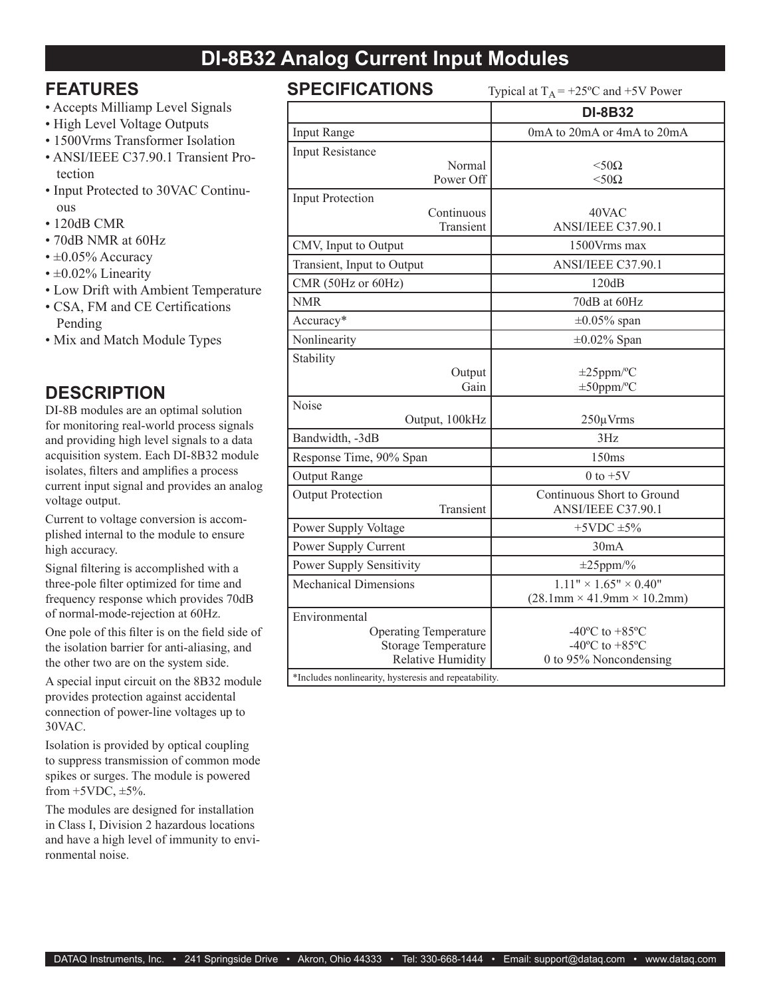# **DI-8B32 Analog Current Input Modules**

### **FEATURES**

- Accepts Milliamp Level Signals
- High Level Voltage Outputs
- 1500Vrms Transformer Isolation
- ANSI/IEEE C37.90.1 Transient Protection
- Input Protected to 30VAC Continuous
- 120dB CMR
- 70dB NMR at 60Hz
- $\cdot \pm 0.05\%$  Accuracy
- $\cdot$  ±0.02% Linearity
- Low Drift with Ambient Temperature
- CSA, FM and CE Certifications Pending
- Mix and Match Module Types

## **DESCRIPTION**

DI-8B modules are an optimal solution for monitoring real-world process signals and providing high level signals to a data acquisition system. Each DI-8B32 module isolates, filters and amplifies a process current input signal and provides an analog voltage output.

Current to voltage conversion is accomplished internal to the module to ensure high accuracy.

Signal filtering is accomplished with a three-pole filter optimized for time and frequency response which provides 70dB of normal-mode-rejection at 60Hz.

One pole of this filter is on the field side of the isolation barrier for anti-aliasing, and the other two are on the system side.

A special input circuit on the 8B32 module provides protection against accidental connection of power-line voltages up to 30VAC.

Isolation is provided by optical coupling to suppress transmission of common mode spikes or surges. The module is powered from  $+5VDC$ ,  $\pm 5\%$ .

The modules are designed for installation in Class I, Division 2 hazardous locations and have a high level of immunity to environmental noise.

| <b>SPECIFICATIONS</b><br>Typical at $T_A$ = +25°C and +5V Power                                                                                                  |                                                                                                        |  |
|------------------------------------------------------------------------------------------------------------------------------------------------------------------|--------------------------------------------------------------------------------------------------------|--|
|                                                                                                                                                                  | <b>DI-8B32</b>                                                                                         |  |
| Input Range                                                                                                                                                      | 0mA to 20mA or 4mA to 20mA                                                                             |  |
| <b>Input Resistance</b>                                                                                                                                          |                                                                                                        |  |
| Normal<br>Power Off                                                                                                                                              | $< 50\Omega$<br>$<$ 50 $\Omega$                                                                        |  |
| <b>Input Protection</b>                                                                                                                                          |                                                                                                        |  |
| Continuous<br>Transient                                                                                                                                          | 40VAC<br>ANSI/IEEE C37.90.1                                                                            |  |
| CMV, Input to Output                                                                                                                                             | 1500Vrms max                                                                                           |  |
| Transient, Input to Output                                                                                                                                       | ANSI/IEEE C37.90.1                                                                                     |  |
| CMR (50Hz or 60Hz)                                                                                                                                               | 120dB                                                                                                  |  |
| <b>NMR</b>                                                                                                                                                       | 70dB at 60Hz                                                                                           |  |
| Accuracy*                                                                                                                                                        | $\pm 0.05\%$ span                                                                                      |  |
| Nonlinearity                                                                                                                                                     | $\pm 0.02\%$ Span                                                                                      |  |
| Stability<br>Output<br>Gain                                                                                                                                      | $\pm 25$ ppm/°C<br>$\pm 50$ ppm/°C                                                                     |  |
| Noise<br>Output, 100kHz                                                                                                                                          | $250 \mu V$ rms                                                                                        |  |
| Bandwidth, -3dB                                                                                                                                                  | 3Hz                                                                                                    |  |
| Response Time, 90% Span                                                                                                                                          | 150ms                                                                                                  |  |
| <b>Output Range</b>                                                                                                                                              | $0$ to $+5V$                                                                                           |  |
| <b>Output Protection</b><br>Transient                                                                                                                            | Continuous Short to Ground<br>ANSI/IEEE C37.90.1                                                       |  |
| Power Supply Voltage                                                                                                                                             | $+5$ VDC $\pm$ 5%                                                                                      |  |
| Power Supply Current                                                                                                                                             | 30mA                                                                                                   |  |
| Power Supply Sensitivity                                                                                                                                         | $\pm 25$ ppm/%                                                                                         |  |
| <b>Mechanical Dimensions</b>                                                                                                                                     | $1.11" \times 1.65" \times 0.40"$<br>$(28.1 \text{mm} \times 41.9 \text{mm} \times 10.2 \text{mm})$    |  |
| Environmental<br><b>Operating Temperature</b><br><b>Storage Temperature</b><br><b>Relative Humidity</b><br>*Includes nonlinearity, hysteresis and repeatability. | -40 $^{\circ}$ C to +85 $^{\circ}$ C<br>-40 $^{\circ}$ C to +85 $^{\circ}$ C<br>0 to 95% Noncondensing |  |